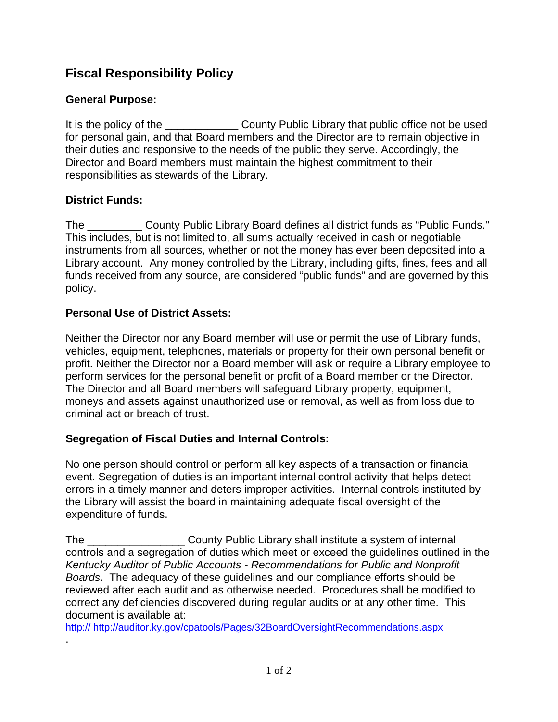# **Fiscal Responsibility Policy**

## **General Purpose:**

It is the policy of the \_\_\_\_\_\_\_\_\_\_\_\_\_\_\_ County Public Library that public office not be used for personal gain, and that Board members and the Director are to remain objective in their duties and responsive to the needs of the public they serve. Accordingly, the Director and Board members must maintain the highest commitment to their responsibilities as stewards of the Library.

## **District Funds:**

.

The County Public Library Board defines all district funds as "Public Funds." This includes, but is not limited to, all sums actually received in cash or negotiable instruments from all sources, whether or not the money has ever been deposited into a Library account. Any money controlled by the Library, including gifts, fines, fees and all funds received from any source, are considered "public funds" and are governed by this policy.

### **Personal Use of District Assets:**

Neither the Director nor any Board member will use or permit the use of Library funds, vehicles, equipment, telephones, materials or property for their own personal benefit or profit. Neither the Director nor a Board member will ask or require a Library employee to perform services for the personal benefit or profit of a Board member or the Director. The Director and all Board members will safeguard Library property, equipment, moneys and assets against unauthorized use or removal, as well as from loss due to criminal act or breach of trust.

## **Segregation of Fiscal Duties and Internal Controls:**

No one person should control or perform all key aspects of a transaction or financial event. Segregation of duties is an important internal control activity that helps detect errors in a timely manner and deters improper activities. Internal controls instituted by the Library will assist the board in maintaining adequate fiscal oversight of the expenditure of funds.

The **Example 20 County Public Library shall institute a system of internal** controls and a segregation of duties which meet or exceed the guidelines outlined in the *Kentucky Auditor of Public Accounts - Recommendations for Public and Nonprofit Boards***.** The adequacy of these guidelines and our compliance efforts should be reviewed after each audit and as otherwise needed. Procedures shall be modified to correct any deficiencies discovered during regular audits or at any other time. This document is available at:

http:// http://auditor.ky.gov/cpatools/Pages/32BoardOversightRecommendations.aspx